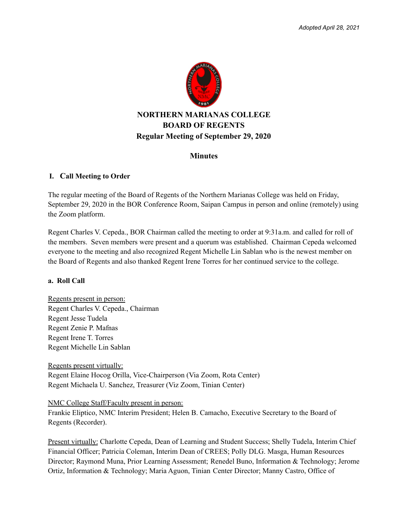

# **Minutes**

### **I. Call Meeting to Order**

The regular meeting of the Board of Regents of the Northern Marianas College was held on Friday, September 29, 2020 in the BOR Conference Room, Saipan Campus in person and online (remotely) using the Zoom platform.

Regent Charles V. Cepeda., BOR Chairman called the meeting to order at 9:31a.m. and called for roll of the members. Seven members were present and a quorum was established. Chairman Cepeda welcomed everyone to the meeting and also recognized Regent Michelle Lin Sablan who is the newest member on the Board of Regents and also thanked Regent Irene Torres for her continued service to the college.

#### **a. Roll Call**

Regents present in person: Regent Charles V. Cepeda., Chairman Regent Jesse Tudela Regent Zenie P. Mafnas Regent Irene T. Torres Regent Michelle Lin Sablan

Regents present virtually: Regent Elaine Hocog Orilla, Vice-Chairperson (Via Zoom, Rota Center) Regent Michaela U. Sanchez, Treasurer (Viz Zoom, Tinian Center)

#### NMC College Staff/Faculty present in person:

Frankie Eliptico, NMC Interim President; Helen B. Camacho, Executive Secretary to the Board of Regents (Recorder).

Present virtually: Charlotte Cepeda, Dean of Learning and Student Success; Shelly Tudela, Interim Chief Financial Officer; Patricia Coleman, Interim Dean of CREES; Polly DLG. Masga, Human Resources Director; Raymond Muna, Prior Learning Assessment; Renedel Buno, Information & Technology; Jerome Ortiz, Information & Technology; Maria Aguon, Tinian Center Director; Manny Castro, Office of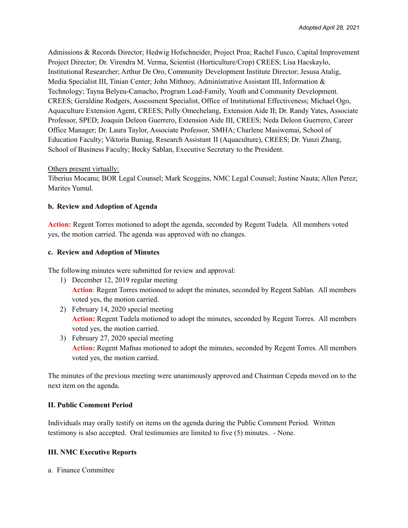Admissions & Records Director; Hedwig Hofschneider, Project Proa; Rachel Fusco, Capital Improvement Project Director; Dr. Virendra M. Verma, Scientist (Horticulture/Crop) CREES; Lisa Hacskaylo, Institutional Researcher; Arthur De Oro, Community Development Institute Director; Jesusa Atalig, Media Specialist III, Tinian Center; John Mithnoy, Administrative Assistant III, Information & Technology; Tayna Belyeu-Camacho, Program Lead-Family, Youth and Community Development. CREES; Geraldine Rodgers, Assessment Specialist, Office of Institutional Effectiveness; Michael Ogo, Aquaculture Extension Agent, CREES; Polly Omechelang, Extension Aide II; Dr. Randy Yates, Associate Professor, SPED; Joaquin Deleon Guerrero, Extension Aide III, CREES; Neda Deleon Guerrero, Career Office Manager; Dr. Laura Taylor, Associate Professor, SMHA; Charlene Masiwemai, School of Education Faculty; Viktoria Buniag, Research Assistant II (Aquaculture), CREES; Dr. Yunzi Zhang, School of Business Faculty; Becky Sablan, Executive Secretary to the President.

### Others present virtually:

Tiberius Mocanu; BOR Legal Counsel; Mark Scoggins, NMC Legal Counsel; Justine Nauta; Allen Perez; Marites Yumul.

### **b. Review and Adoption of Agenda**

**Action:** Regent Torres motioned to adopt the agenda, seconded by Regent Tudela. All members voted yes, the motion carried. The agenda was approved with no changes.

#### **c. Review and Adoption of Minutes**

The following minutes were submitted for review and approval:

- 1) December 12, 2019 regular meeting **Action**: Regent Torres motioned to adopt the minutes, seconded by Regent Sablan. All members voted yes, the motion carried.
- 2) February 14, 2020 special meeting **Action:** Regent Tudela motioned to adopt the minutes, seconded by Regent Torres. All members voted yes, the motion carried.
- 3) February 27, 2020 special meeting **Action:** Regent Mafnas motioned to adopt the minutes, seconded by Regent Torres. All members voted yes, the motion carried.

The minutes of the previous meeting were unanimously approved and Chairman Cepeda moved on to the next item on the agenda.

# **II. Public Comment Period**

Individuals may orally testify on items on the agenda during the Public Comment Period. Written testimony is also accepted. Oral testimonies are limited to five (5) minutes. - None.

#### **III. NMC Executive Reports**

a. Finance Committee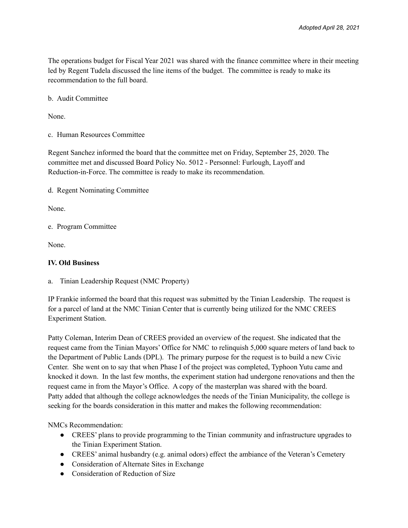The operations budget for Fiscal Year 2021 was shared with the finance committee where in their meeting led by Regent Tudela discussed the line items of the budget. The committee is ready to make its recommendation to the full board.

b. Audit Committee

None.

c. Human Resources Committee

Regent Sanchez informed the board that the committee met on Friday, September 25, 2020. The committee met and discussed Board Policy No. 5012 - Personnel: Furlough, Layoff and Reduction-in-Force. The committee is ready to make its recommendation.

d. Regent Nominating Committee

None.

e. Program Committee

None.

### **IV. Old Business**

a. Tinian Leadership Request (NMC Property)

IP Frankie informed the board that this request was submitted by the Tinian Leadership. The request is for a parcel of land at the NMC Tinian Center that is currently being utilized for the NMC CREES Experiment Station.

Patty Coleman, Interim Dean of CREES provided an overview of the request. She indicated that the request came from the Tinian Mayors' Office for NMC to relinquish 5,000 square meters of land back to the Department of Public Lands (DPL). The primary purpose for the request is to build a new Civic Center. She went on to say that when Phase I of the project was completed, Typhoon Yutu came and knocked it down. In the last few months, the experiment station had undergone renovations and then the request came in from the Mayor's Office. A copy of the masterplan was shared with the board. Patty added that although the college acknowledges the needs of the Tinian Municipality, the college is seeking for the boards consideration in this matter and makes the following recommendation:

NMCs Recommendation:

- CREES' plans to provide programming to the Tinian community and infrastructure upgrades to the Tinian Experiment Station.
- CREES' animal husbandry (e.g. animal odors) effect the ambiance of the Veteran's Cemetery
- Consideration of Alternate Sites in Exchange
- Consideration of Reduction of Size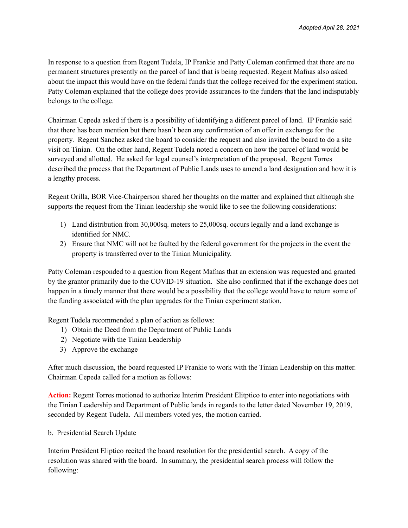In response to a question from Regent Tudela, IP Frankie and Patty Coleman confirmed that there are no permanent structures presently on the parcel of land that is being requested. Regent Mafnas also asked about the impact this would have on the federal funds that the college received for the experiment station. Patty Coleman explained that the college does provide assurances to the funders that the land indisputably belongs to the college.

Chairman Cepeda asked if there is a possibility of identifying a different parcel of land. IP Frankie said that there has been mention but there hasn't been any confirmation of an offer in exchange for the property. Regent Sanchez asked the board to consider the request and also invited the board to do a site visit on Tinian. On the other hand, Regent Tudela noted a concern on how the parcel of land would be surveyed and allotted. He asked for legal counsel's interpretation of the proposal. Regent Torres described the process that the Department of Public Lands uses to amend a land designation and how it is a lengthy process.

Regent Orilla, BOR Vice-Chairperson shared her thoughts on the matter and explained that although she supports the request from the Tinian leadership she would like to see the following considerations:

- 1) Land distribution from 30,000sq. meters to 25,000sq. occurs legally and a land exchange is identified for NMC.
- 2) Ensure that NMC will not be faulted by the federal government for the projects in the event the property is transferred over to the Tinian Municipality.

Patty Coleman responded to a question from Regent Mafnas that an extension was requested and granted by the grantor primarily due to the COVID-19 situation. She also confirmed that if the exchange does not happen in a timely manner that there would be a possibility that the college would have to return some of the funding associated with the plan upgrades for the Tinian experiment station.

Regent Tudela recommended a plan of action as follows:

- 1) Obtain the Deed from the Department of Public Lands
- 2) Negotiate with the Tinian Leadership
- 3) Approve the exchange

After much discussion, the board requested IP Frankie to work with the Tinian Leadership on this matter. Chairman Cepeda called for a motion as follows:

**Action:** Regent Torres motioned to authorize Interim President Elitptico to enter into negotiations with the Tinian Leadership and Department of Public lands in regards to the letter dated November 19, 2019, seconded by Regent Tudela. All members voted yes, the motion carried.

b. Presidential Search Update

Interim President Eliptico recited the board resolution for the presidential search. A copy of the resolution was shared with the board. In summary, the presidential search process will follow the following: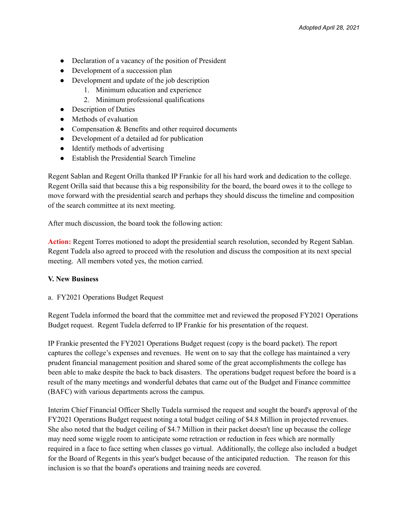- Declaration of a vacancy of the position of President
- Development of a succession plan
- Development and update of the job description
	- 1. Minimum education and experience
	- 2. Minimum professional qualifications
- Description of Duties
- Methods of evaluation
- Compensation & Benefits and other required documents
- Development of a detailed ad for publication
- Identify methods of advertising
- Establish the Presidential Search Timeline

Regent Sablan and Regent Orilla thanked IP Frankie for all his hard work and dedication to the college. Regent Orilla said that because this a big responsibility for the board, the board owes it to the college to move forward with the presidential search and perhaps they should discuss the timeline and composition of the search committee at its next meeting.

After much discussion, the board took the following action:

**Action:** Regent Torres motioned to adopt the presidential search resolution, seconded by Regent Sablan. Regent Tudela also agreed to proceed with the resolution and discuss the composition at its next special meeting. All members voted yes, the motion carried.

#### **V. New Business**

a. FY2021 Operations Budget Request

Regent Tudela informed the board that the committee met and reviewed the proposed FY2021 Operations Budget request. Regent Tudela deferred to IP Frankie for his presentation of the request.

IP Frankie presented the FY2021 Operations Budget request (copy is the board packet). The report captures the college's expenses and revenues. He went on to say that the college has maintained a very prudent financial management position and shared some of the great accomplishments the college has been able to make despite the back to back disasters. The operations budget request before the board is a result of the many meetings and wonderful debates that came out of the Budget and Finance committee (BAFC) with various departments across the campus.

Interim Chief Financial Officer Shelly Tudela surmised the request and sought the board's approval of the FY2021 Operations Budget request noting a total budget ceiling of \$4.8 Million in projected revenues. She also noted that the budget ceiling of \$4.7 Million in their packet doesn't line up because the college may need some wiggle room to anticipate some retraction or reduction in fees which are normally required in a face to face setting when classes go virtual. Additionally, the college also included a budget for the Board of Regents in this year's budget because of the anticipated reduction. The reason for this inclusion is so that the board's operations and training needs are covered.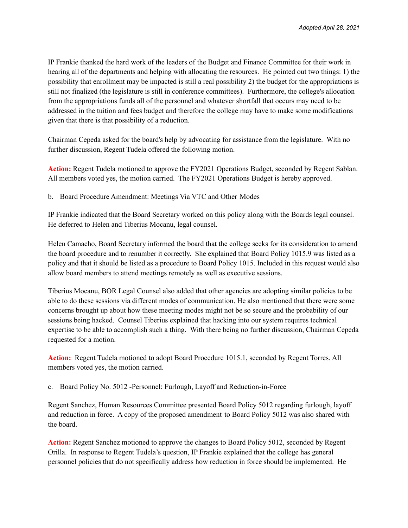IP Frankie thanked the hard work of the leaders of the Budget and Finance Committee for their work in hearing all of the departments and helping with allocating the resources. He pointed out two things: 1) the possibility that enrollment may be impacted is still a real possibility 2) the budget for the appropriations is still not finalized (the legislature is still in conference committees). Furthermore, the college's allocation from the appropriations funds all of the personnel and whatever shortfall that occurs may need to be addressed in the tuition and fees budget and therefore the college may have to make some modifications given that there is that possibility of a reduction.

Chairman Cepeda asked for the board's help by advocating for assistance from the legislature. With no further discussion, Regent Tudela offered the following motion.

**Action:** Regent Tudela motioned to approve the FY2021 Operations Budget, seconded by Regent Sablan. All members voted yes, the motion carried. The FY2021 Operations Budget is hereby approved.

b. Board Procedure Amendment: Meetings Via VTC and Other Modes

IP Frankie indicated that the Board Secretary worked on this policy along with the Boards legal counsel. He deferred to Helen and Tiberius Mocanu, legal counsel.

Helen Camacho, Board Secretary informed the board that the college seeks for its consideration to amend the board procedure and to renumber it correctly. She explained that Board Policy 1015.9 was listed as a policy and that it should be listed as a procedure to Board Policy 1015. Included in this request would also allow board members to attend meetings remotely as well as executive sessions.

Tiberius Mocanu, BOR Legal Counsel also added that other agencies are adopting similar policies to be able to do these sessions via different modes of communication. He also mentioned that there were some concerns brought up about how these meeting modes might not be so secure and the probability of our sessions being hacked. Counsel Tiberius explained that hacking into our system requires technical expertise to be able to accomplish such a thing. With there being no further discussion, Chairman Cepeda requested for a motion.

**Action:** Regent Tudela motioned to adopt Board Procedure 1015.1, seconded by Regent Torres. All members voted yes, the motion carried.

c. Board Policy No. 5012 -Personnel: Furlough, Layoff and Reduction-in-Force

Regent Sanchez, Human Resources Committee presented Board Policy 5012 regarding furlough, layoff and reduction in force. A copy of the proposed amendment to Board Policy 5012 was also shared with the board.

**Action:** Regent Sanchez motioned to approve the changes to Board Policy 5012, seconded by Regent Orilla. In response to Regent Tudela's question, IP Frankie explained that the college has general personnel policies that do not specifically address how reduction in force should be implemented. He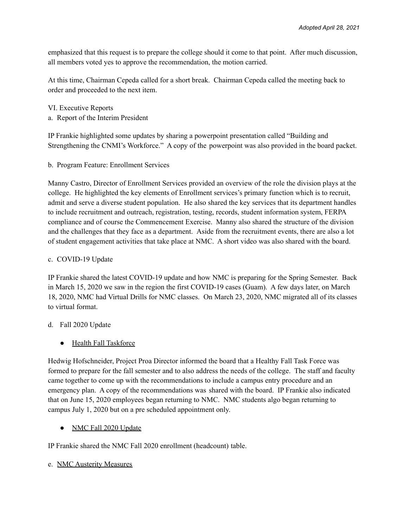emphasized that this request is to prepare the college should it come to that point. After much discussion, all members voted yes to approve the recommendation, the motion carried.

At this time, Chairman Cepeda called for a short break. Chairman Cepeda called the meeting back to order and proceeded to the next item.

VI. Executive Reports a. Report of the Interim President

IP Frankie highlighted some updates by sharing a powerpoint presentation called "Building and Strengthening the CNMI's Workforce." A copy of the powerpoint was also provided in the board packet.

b. Program Feature: Enrollment Services

Manny Castro, Director of Enrollment Services provided an overview of the role the division plays at the college. He highlighted the key elements of Enrollment services's primary function which is to recruit, admit and serve a diverse student population. He also shared the key services that its department handles to include recruitment and outreach, registration, testing, records, student information system, FERPA compliance and of course the Commencement Exercise. Manny also shared the structure of the division and the challenges that they face as a department. Aside from the recruitment events, there are also a lot of student engagement activities that take place at NMC. A short video was also shared with the board.

# c. COVID-19 Update

IP Frankie shared the latest COVID-19 update and how NMC is preparing for the Spring Semester. Back in March 15, 2020 we saw in the region the first COVID-19 cases (Guam). A few days later, on March 18, 2020, NMC had Virtual Drills for NMC classes. On March 23, 2020, NMC migrated all of its classes to virtual format.

# d. Fall 2020 Update

● Health Fall Taskforce

Hedwig Hofschneider, Project Proa Director informed the board that a Healthy Fall Task Force was formed to prepare for the fall semester and to also address the needs of the college. The staff and faculty came together to come up with the recommendations to include a campus entry procedure and an emergency plan. A copy of the recommendations was shared with the board. IP Frankie also indicated that on June 15, 2020 employees began returning to NMC. NMC students algo began returning to campus July 1, 2020 but on a pre scheduled appointment only.

# • NMC Fall 2020 Update

IP Frankie shared the NMC Fall 2020 enrollment (headcount) table.

# e. NMC Austerity Measures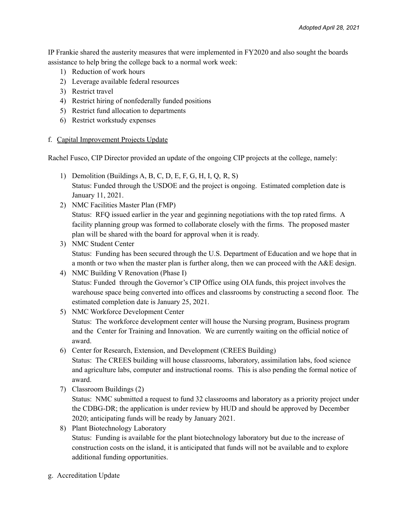IP Frankie shared the austerity measures that were implemented in FY2020 and also sought the boards assistance to help bring the college back to a normal work week:

- 1) Reduction of work hours
- 2) Leverage available federal resources
- 3) Restrict travel
- 4) Restrict hiring of nonfederally funded positions
- 5) Restrict fund allocation to departments
- 6) Restrict workstudy expenses

### f. Capital Improvement Projects Update

Rachel Fusco, CIP Director provided an update of the ongoing CIP projects at the college, namely:

- 1) Demolition (Buildings A, B, C, D, E, F, G, H, I, Q, R, S) Status: Funded through the USDOE and the project is ongoing. Estimated completion date is January 11, 2021.
- 2) NMC Facilities Master Plan (FMP) Status: RFQ issued earlier in the year and geginning negotiations with the top rated firms. A facility planning group was formed to collaborate closely with the firms. The proposed master plan will be shared with the board for approval when it is ready.
- 3) NMC Student Center Status: Funding has been secured through the U.S. Department of Education and we hope that in a month or two when the master plan is further along, then we can proceed with the A&E design.
- 4) NMC Building V Renovation (Phase I) Status: Funded through the Governor's CIP Office using OIA funds, this project involves the warehouse space being converted into offices and classrooms by constructing a second floor. The estimated completion date is January 25, 2021.
- 5) NMC Workforce Development Center Status: The workforce development center will house the Nursing program, Business program and the Center for Training and Innovation. We are currently waiting on the official notice of award.
- 6) Center for Research, Extension, and Development (CREES Building)

Status: The CREES building will house classrooms, laboratory, assimilation labs, food science and agriculture labs, computer and instructional rooms. This is also pending the formal notice of award.

7) Classroom Buildings (2)

Status: NMC submitted a request to fund 32 classrooms and laboratory as a priority project under the CDBG-DR; the application is under review by HUD and should be approved by December 2020; anticipating funds will be ready by January 2021.

- 8) Plant Biotechnology Laboratory Status: Funding is available for the plant biotechnology laboratory but due to the increase of construction costs on the island, it is anticipated that funds will not be available and to explore additional funding opportunities.
- g. Accreditation Update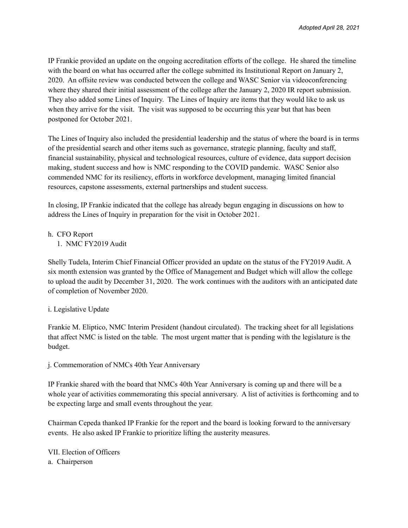IP Frankie provided an update on the ongoing accreditation efforts of the college. He shared the timeline with the board on what has occurred after the college submitted its Institutional Report on January 2, 2020. An offsite review was conducted between the college and WASC Senior via videoconferencing where they shared their initial assessment of the college after the January 2, 2020 IR report submission. They also added some Lines of Inquiry. The Lines of Inquiry are items that they would like to ask us when they arrive for the visit. The visit was supposed to be occurring this year but that has been postponed for October 2021.

The Lines of Inquiry also included the presidential leadership and the status of where the board is in terms of the presidential search and other items such as governance, strategic planning, faculty and staff, financial sustainability, physical and technological resources, culture of evidence, data support decision making, student success and how is NMC responding to the COVID pandemic. WASC Senior also commended NMC for its resiliency, efforts in workforce development, managing limited financial resources, capstone assessments, external partnerships and student success.

In closing, IP Frankie indicated that the college has already begun engaging in discussions on how to address the Lines of Inquiry in preparation for the visit in October 2021.

h. CFO Report

1. NMC FY2019 Audit

Shelly Tudela, Interim Chief Financial Officer provided an update on the status of the FY2019 Audit. A six month extension was granted by the Office of Management and Budget which will allow the college to upload the audit by December 31, 2020. The work continues with the auditors with an anticipated date of completion of November 2020.

# i. Legislative Update

Frankie M. Eliptico, NMC Interim President (handout circulated). The tracking sheet for all legislations that affect NMC is listed on the table. The most urgent matter that is pending with the legislature is the budget.

j. Commemoration of NMCs 40th Year Anniversary

IP Frankie shared with the board that NMCs 40th Year Anniversary is coming up and there will be a whole year of activities commemorating this special anniversary. A list of activities is forthcoming and to be expecting large and small events throughout the year.

Chairman Cepeda thanked IP Frankie for the report and the board is looking forward to the anniversary events. He also asked IP Frankie to prioritize lifting the austerity measures.

VII. Election of Officers a. Chairperson